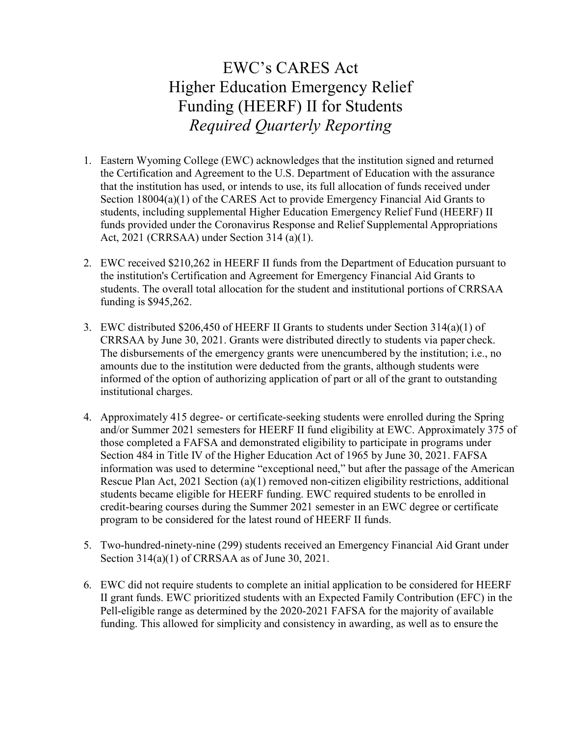## EWC's CARES Act Higher Education Emergency Relief Funding (HEERF) II for Students Required Quarterly Reporting

- 1. Eastern Wyoming College (EWC) acknowledges that the institution signed and returned the Certification and Agreement to the U.S. Department of Education with the assurance that the institution has used, or intends to use, its full allocation of funds received under Section 18004(a)(1) of the CARES Act to provide Emergency Financial Aid Grants to students, including supplemental Higher Education Emergency Relief Fund (HEERF) II funds provided under the Coronavirus Response and Relief Supplemental Appropriations Act, 2021 (CRRSAA) under Section 314 (a)(1).
- 2. EWC received \$210,262 in HEERF II funds from the Department of Education pursuant to the institution's Certification and Agreement for Emergency Financial Aid Grants to students. The overall total allocation for the student and institutional portions of CRRSAA funding is \$945,262.
- 3. EWC distributed \$206,450 of HEERF II Grants to students under Section 314(a)(1) of CRRSAA by June 30, 2021. Grants were distributed directly to students via paper check. The disbursements of the emergency grants were unencumbered by the institution; i.e., no amounts due to the institution were deducted from the grants, although students were informed of the option of authorizing application of part or all of the grant to outstanding institutional charges.
- 4. Approximately 415 degree- or certificate-seeking students were enrolled during the Spring and/or Summer 2021 semesters for HEERF II fund eligibility at EWC. Approximately 375 of those completed a FAFSA and demonstrated eligibility to participate in programs under Section 484 in Title IV of the Higher Education Act of 1965 by June 30, 2021. FAFSA information was used to determine "exceptional need," but after the passage of the American Rescue Plan Act, 2021 Section (a)(1) removed non-citizen eligibility restrictions, additional students became eligible for HEERF funding. EWC required students to be enrolled in credit-bearing courses during the Summer 2021 semester in an EWC degree or certificate program to be considered for the latest round of HEERF II funds.
- 5. Two-hundred-ninety-nine (299) students received an Emergency Financial Aid Grant under Section 314(a)(1) of CRRSAA as of June 30, 2021.
- 6. EWC did not require students to complete an initial application to be considered for HEERF II grant funds. EWC prioritized students with an Expected Family Contribution (EFC) in the Pell-eligible range as determined by the 2020-2021 FAFSA for the majority of available funding. This allowed for simplicity and consistency in awarding, as well as to ensure the